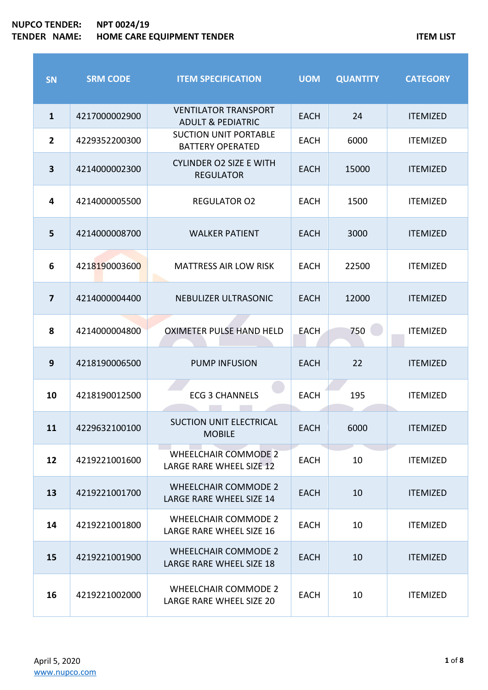| <b>SN</b>               | <b>SRM CODE</b> | <b>ITEM SPECIFICATION</b>                                      | <b>UOM</b>  | <b>QUANTITY</b> | <b>CATEGORY</b> |
|-------------------------|-----------------|----------------------------------------------------------------|-------------|-----------------|-----------------|
| $\mathbf{1}$            | 4217000002900   | <b>VENTILATOR TRANSPORT</b><br><b>ADULT &amp; PEDIATRIC</b>    | <b>EACH</b> | 24              | <b>ITEMIZED</b> |
| $\overline{2}$          | 4229352200300   | <b>SUCTION UNIT PORTABLE</b><br><b>BATTERY OPERATED</b>        | <b>EACH</b> | 6000            | <b>ITEMIZED</b> |
| $\overline{\mathbf{3}}$ | 4214000002300   | <b>CYLINDER O2 SIZE E WITH</b><br><b>REGULATOR</b>             | <b>EACH</b> | 15000           | <b>ITEMIZED</b> |
| 4                       | 4214000005500   | <b>REGULATOR O2</b>                                            | <b>EACH</b> | 1500            | <b>ITEMIZED</b> |
| 5                       | 4214000008700   | <b>WALKER PATIENT</b>                                          | <b>EACH</b> | 3000            | <b>ITEMIZED</b> |
| 6                       | 4218190003600   | <b>MATTRESS AIR LOW RISK</b>                                   | <b>EACH</b> | 22500           | <b>ITEMIZED</b> |
| $\overline{\mathbf{z}}$ | 4214000004400   | NEBULIZER ULTRASONIC                                           | <b>EACH</b> | 12000           | <b>ITEMIZED</b> |
| 8                       | 4214000004800   | <b>OXIMETER PULSE HAND HELD</b>                                | <b>EACH</b> | 750             | <b>ITEMIZED</b> |
| $\boldsymbol{9}$        | 4218190006500   | <b>PUMP INFUSION</b>                                           | <b>EACH</b> | 22              | <b>ITEMIZED</b> |
| 10                      | 4218190012500   | <b>ECG 3 CHANNELS</b>                                          | <b>EACH</b> | 195             | <b>ITEMIZED</b> |
| 11                      | 4229632100100   | SUCTION UNIT ELECTRICAL<br><b>MOBILE</b>                       | <b>EACH</b> | 6000            | <b>ITEMIZED</b> |
| 12                      | 4219221001600   | <b>WHEELCHAIR COMMODE 2</b><br>LARGE RARE WHEEL SIZE 12        | <b>EACH</b> | 10              | <b>ITEMIZED</b> |
| 13                      | 4219221001700   | <b>WHEELCHAIR COMMODE 2</b><br><b>LARGE RARE WHEEL SIZE 14</b> | <b>EACH</b> | 10              | <b>ITEMIZED</b> |
| 14                      | 4219221001800   | <b>WHEELCHAIR COMMODE 2</b><br>LARGE RARE WHEEL SIZE 16        | <b>EACH</b> | 10              | <b>ITEMIZED</b> |
| 15                      | 4219221001900   | <b>WHEELCHAIR COMMODE 2</b><br>LARGE RARE WHEEL SIZE 18        | <b>EACH</b> | 10              | <b>ITEMIZED</b> |
| 16                      | 4219221002000   | <b>WHEELCHAIR COMMODE 2</b><br>LARGE RARE WHEEL SIZE 20        | <b>EACH</b> | 10              | <b>ITEMIZED</b> |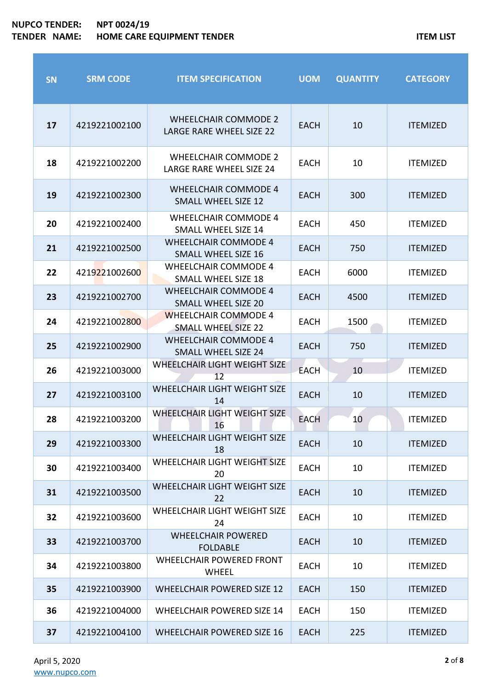F

| <b>SN</b> | <b>SRM CODE</b> | <b>ITEM SPECIFICATION</b>                                      | <b>UOM</b>  | <b>QUANTITY</b> | <b>CATEGORY</b> |
|-----------|-----------------|----------------------------------------------------------------|-------------|-----------------|-----------------|
| 17        | 4219221002100   | <b>WHEELCHAIR COMMODE 2</b><br>LARGE RARE WHEEL SIZE 22        | <b>EACH</b> | 10              | <b>ITEMIZED</b> |
| 18        | 4219221002200   | <b>WHEELCHAIR COMMODE 2</b><br><b>LARGE RARE WHEEL SIZE 24</b> | <b>EACH</b> | 10              | <b>ITEMIZED</b> |
| 19        | 4219221002300   | <b>WHEELCHAIR COMMODE 4</b><br><b>SMALL WHEEL SIZE 12</b>      | <b>EACH</b> | 300             | <b>ITEMIZED</b> |
| 20        | 4219221002400   | <b>WHEELCHAIR COMMODE 4</b><br><b>SMALL WHEEL SIZE 14</b>      | <b>EACH</b> | 450             | <b>ITEMIZED</b> |
| 21        | 4219221002500   | <b>WHEELCHAIR COMMODE 4</b><br><b>SMALL WHEEL SIZE 16</b>      | <b>EACH</b> | 750             | <b>ITEMIZED</b> |
| 22        | 4219221002600   | <b>WHEELCHAIR COMMODE 4</b><br><b>SMALL WHEEL SIZE 18</b>      | <b>EACH</b> | 6000            | <b>ITEMIZED</b> |
| 23        | 4219221002700   | <b>WHEELCHAIR COMMODE 4</b><br><b>SMALL WHEEL SIZE 20</b>      | <b>EACH</b> | 4500            | <b>ITEMIZED</b> |
| 24        | 4219221002800   | <b>WHEELCHAIR COMMODE 4</b><br><b>SMALL WHEEL SIZE 22</b>      | <b>EACH</b> | 1500            | <b>ITEMIZED</b> |
| 25        | 4219221002900   | <b>WHEELCHAIR COMMODE 4</b><br><b>SMALL WHEEL SIZE 24</b>      | <b>EACH</b> | 750             | <b>ITEMIZED</b> |
| 26        | 4219221003000   | WHEELCHAIR LIGHT WEIGHT SIZE<br>12                             | <b>EACH</b> | 10              | <b>ITEMIZED</b> |
| 27        | 4219221003100   | <b>WHEELCHAIR LIGHT WEIGHT SIZE</b><br>14                      | <b>EACH</b> | 10              | <b>ITEMIZED</b> |
| 28        | 4219221003200   | WHEELCHAIR LIGHT WEIGHT SIZE<br>16                             | <b>EACH</b> | 10              | <b>ITEMIZED</b> |
| 29        | 4219221003300   | WHEELCHAIR LIGHT WEIGHT SIZE<br>18                             | <b>EACH</b> | 10              | <b>ITEMIZED</b> |
| 30        | 4219221003400   | WHEELCHAIR LIGHT WEIGHT SIZE<br>20                             | <b>EACH</b> | 10              | <b>ITEMIZED</b> |
| 31        | 4219221003500   | WHEELCHAIR LIGHT WEIGHT SIZE<br>22                             | <b>EACH</b> | 10              | <b>ITEMIZED</b> |
| 32        | 4219221003600   | WHEELCHAIR LIGHT WEIGHT SIZE<br>24                             | <b>EACH</b> | 10              | <b>ITEMIZED</b> |
| 33        | 4219221003700   | <b>WHEELCHAIR POWERED</b><br><b>FOLDABLE</b>                   | <b>EACH</b> | 10              | <b>ITEMIZED</b> |
| 34        | 4219221003800   | <b>WHEELCHAIR POWERED FRONT</b><br><b>WHEEL</b>                | <b>EACH</b> | 10              | <b>ITEMIZED</b> |
| 35        | 4219221003900   | <b>WHEELCHAIR POWERED SIZE 12</b>                              | <b>EACH</b> | 150             | <b>ITEMIZED</b> |
| 36        | 4219221004000   | <b>WHEELCHAIR POWERED SIZE 14</b>                              | <b>EACH</b> | 150             | <b>ITEMIZED</b> |
| 37        | 4219221004100   | <b>WHEELCHAIR POWERED SIZE 16</b>                              | <b>EACH</b> | 225             | <b>ITEMIZED</b> |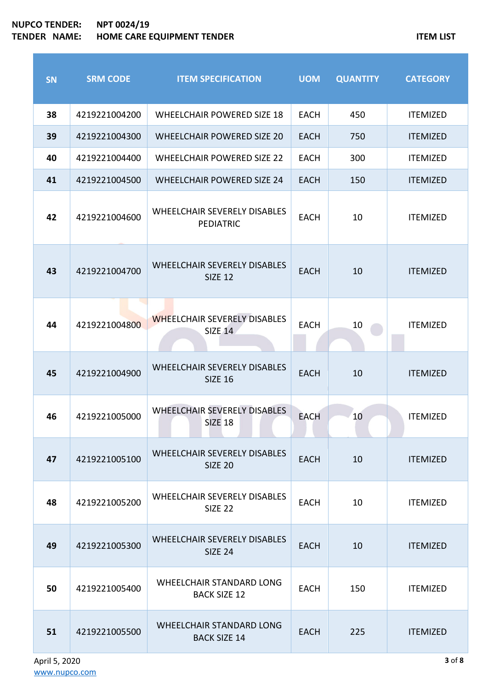$\sim$ 

| <b>SN</b> | <b>SRM CODE</b> | <b>ITEM SPECIFICATION</b>                               | <b>UOM</b>  | <b>QUANTITY</b> | <b>CATEGORY</b> |
|-----------|-----------------|---------------------------------------------------------|-------------|-----------------|-----------------|
| 38        | 4219221004200   | <b>WHEELCHAIR POWERED SIZE 18</b>                       | <b>EACH</b> | 450             | <b>ITEMIZED</b> |
| 39        | 4219221004300   | <b>WHEELCHAIR POWERED SIZE 20</b>                       | <b>EACH</b> | 750             | <b>ITEMIZED</b> |
| 40        | 4219221004400   | <b>WHEELCHAIR POWERED SIZE 22</b>                       | <b>EACH</b> | 300             | <b>ITEMIZED</b> |
| 41        | 4219221004500   | <b>WHEELCHAIR POWERED SIZE 24</b>                       | <b>EACH</b> | 150             | <b>ITEMIZED</b> |
| 42        | 4219221004600   | <b>WHEELCHAIR SEVERELY DISABLES</b><br><b>PEDIATRIC</b> | <b>EACH</b> | 10              | <b>ITEMIZED</b> |
| 43        | 4219221004700   | <b>WHEELCHAIR SEVERELY DISABLES</b><br><b>SIZE 12</b>   | <b>EACH</b> | 10              | <b>ITEMIZED</b> |
| 44        | 4219221004800   | <b>WHEELCHAIR SEVERELY DISABLES</b><br><b>SIZE 14</b>   | <b>EACH</b> | 10              | <b>ITEMIZED</b> |
| 45        | 4219221004900   | <b>WHEELCHAIR SEVERELY DISABLES</b><br><b>SIZE 16</b>   | <b>EACH</b> | 10              | <b>ITEMIZED</b> |
| 46        | 4219221005000   | <b>WHEELCHAIR SEVERELY DISABLES</b><br><b>SIZE 18</b>   | <b>EACH</b> | 10              | <b>ITEMIZED</b> |
| 47        | 4219221005100   | WHEELCHAIR SEVERELY DISABLES<br><b>SIZE 20</b>          | <b>EACH</b> | 10              | <b>ITEMIZED</b> |
| 48        | 4219221005200   | WHEELCHAIR SEVERELY DISABLES<br><b>SIZE 22</b>          | <b>EACH</b> | 10              | <b>ITEMIZED</b> |
| 49        | 4219221005300   | WHEELCHAIR SEVERELY DISABLES<br><b>SIZE 24</b>          | <b>EACH</b> | 10              | <b>ITEMIZED</b> |
| 50        | 4219221005400   | <b>WHEELCHAIR STANDARD LONG</b><br><b>BACK SIZE 12</b>  | <b>EACH</b> | 150             | <b>ITEMIZED</b> |
| 51        | 4219221005500   | <b>WHEELCHAIR STANDARD LONG</b><br><b>BACK SIZE 14</b>  | <b>EACH</b> | 225             | <b>ITEMIZED</b> |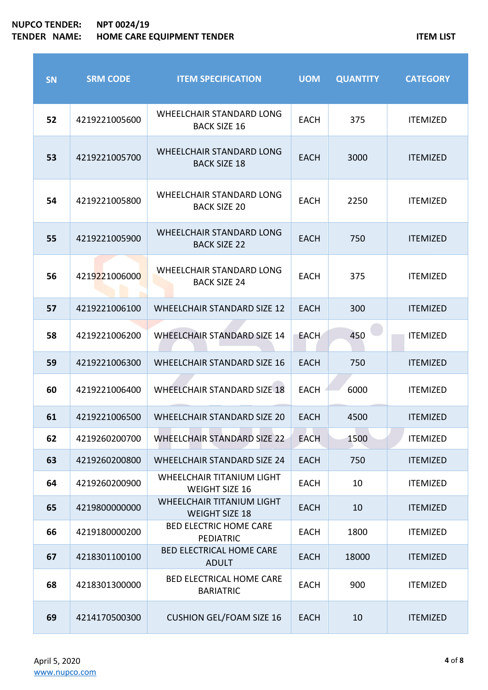П

| <b>SN</b> | <b>SRM CODE</b> | <b>ITEM SPECIFICATION</b>                                 | <b>UOM</b>  | <b>QUANTITY</b> | <b>CATEGORY</b> |
|-----------|-----------------|-----------------------------------------------------------|-------------|-----------------|-----------------|
| 52        | 4219221005600   | <b>WHEELCHAIR STANDARD LONG</b><br><b>BACK SIZE 16</b>    | <b>EACH</b> | 375             | <b>ITEMIZED</b> |
| 53        | 4219221005700   | <b>WHEELCHAIR STANDARD LONG</b><br><b>BACK SIZE 18</b>    | <b>EACH</b> | 3000            | <b>ITEMIZED</b> |
| 54        | 4219221005800   | <b>WHEELCHAIR STANDARD LONG</b><br><b>BACK SIZE 20</b>    | <b>EACH</b> | 2250            | <b>ITEMIZED</b> |
| 55        | 4219221005900   | <b>WHEELCHAIR STANDARD LONG</b><br><b>BACK SIZE 22</b>    | EACH        | 750             | <b>ITEMIZED</b> |
| 56        | 4219221006000   | <b>WHEELCHAIR STANDARD LONG</b><br><b>BACK SIZE 24</b>    | <b>EACH</b> | 375             | <b>ITEMIZED</b> |
| 57        | 4219221006100   | <b>WHEELCHAIR STANDARD SIZE 12</b>                        | <b>EACH</b> | 300             | <b>ITEMIZED</b> |
| 58        | 4219221006200   | <b>WHEELCHAIR STANDARD SIZE 14</b>                        | <b>EACH</b> | 450             | <b>ITEMIZED</b> |
| 59        | 4219221006300   | <b>WHEELCHAIR STANDARD SIZE 16</b>                        | <b>EACH</b> | 750             | <b>ITEMIZED</b> |
| 60        | 4219221006400   | <b>WHEELCHAIR STANDARD SIZE 18</b>                        | <b>EACH</b> | 6000            | <b>ITEMIZED</b> |
| 61        | 4219221006500   | <b>WHEELCHAIR STANDARD SIZE 20</b>                        | <b>EACH</b> | 4500            | <b>ITEMIZED</b> |
| 62        | 4219260200700   | <b>WHEELCHAIR STANDARD SIZE 22</b>                        | <b>EACH</b> | 1500            | <b>ITEMIZED</b> |
| 63        | 4219260200800   | <b>WHEELCHAIR STANDARD SIZE 24</b>                        | <b>EACH</b> | 750             | <b>ITEMIZED</b> |
| 64        | 4219260200900   | WHEELCHAIR TITANIUM LIGHT<br><b>WEIGHT SIZE 16</b>        | <b>EACH</b> | 10              | <b>ITEMIZED</b> |
| 65        | 4219800000000   | <b>WHEELCHAIR TITANIUM LIGHT</b><br><b>WEIGHT SIZE 18</b> | <b>EACH</b> | 10              | <b>ITEMIZED</b> |
| 66        | 4219180000200   | <b>BED ELECTRIC HOME CARE</b><br><b>PEDIATRIC</b>         | <b>EACH</b> | 1800            | <b>ITEMIZED</b> |
| 67        | 4218301100100   | <b>BED ELECTRICAL HOME CARE</b><br><b>ADULT</b>           | <b>EACH</b> | 18000           | <b>ITEMIZED</b> |
| 68        | 4218301300000   | <b>BED ELECTRICAL HOME CARE</b><br><b>BARIATRIC</b>       | <b>EACH</b> | 900             | <b>ITEMIZED</b> |
| 69        | 4214170500300   | <b>CUSHION GEL/FOAM SIZE 16</b>                           | <b>EACH</b> | 10              | <b>ITEMIZED</b> |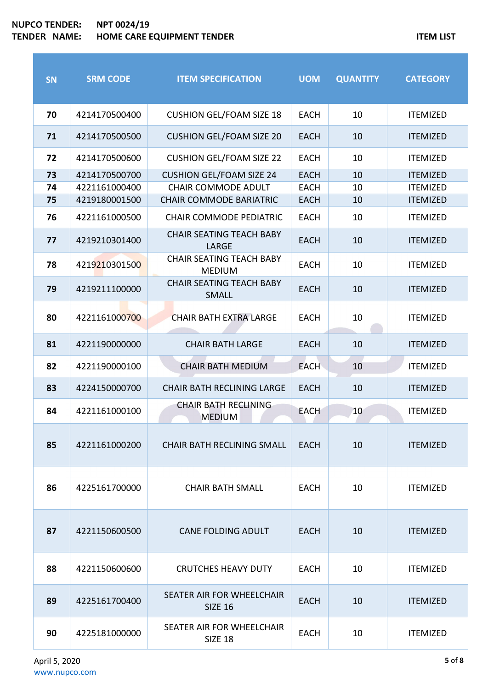**SN SRM CODE ITEM SPECIFICATION UOM QUANTITY CATEGORY** 4214170500400 CUSHION GEL/FOAM SIZE 18 EACH 10 ITEMIZED 4214170500500 CUSHION GEL/FOAM SIZE 20 EACH 10 ITEMIZED 4214170500600 CUSHION GEL/FOAM SIZE 22 EACH 10 ITEMIZED 4214170500700 CUSHION GEL/FOAM SIZE 24 EACH 10 ITEMIZED 4221161000400 CHAIR COMMODE ADULT EACH 10 ITEMIZED 4219180001500 CHAIR COMMODE BARIATRIC EACH 10 ITEMIZED 4221161000500 CHAIR COMMODE PEDIATRIC EACH 10 ITEMIZED 4219210301400 CHAIR SEATING TEACH BABY LARGE EACH 10 ITEMIZED 4219210301500 CHAIR SEATING TEACH BABY  $MEDI$  EACH 10 ITEMIZED 4219211100000 CHAIR SEATING TEACH BABY SMALL **EACH** 10 ITEMIZED 4221161000700 CHAIR BATH EXTRA LARGE EACH 10 ITEMIZED 4221190000000 CHAIR BATH LARGE EACH 10 ITEMIZED 4221190000100 CHAIR BATH MEDIUM EACH 10 ITEMIZED 4224150000700 CHAIR BATH RECLINING LARGE EACH 10 ITEMIZED 4221161000100 CHAIR BATH RECLINING MEDIUM EACH 10 ITEMIZED 4221161000200 CHAIR BATH RECLINING SMALL EACH 10 ITEMIZED 4225161700000 CHAIR BATH SMALL EACH 10 ITEMIZED 4221150600500 CANE FOLDING ADULT EACH 10 ITEMIZED 4221150600600 CRUTCHES HEAVY DUTY EACH 10 ITEMIZED 4225161700400 SEATER AIR FOR WHEELCHAIR SIZE EACH  $\begin{array}{|c|c|c|c|c|}\n\hline\n\end{array}$  FACH  $\begin{array}{|c|c|c|c|c|}\n\hline\n\end{array}$  ITEMIZED 4225181000000 SEATER AIR FOR WHEELCHAIR SIZE 18  $\begin{array}{|c|c|c|c|c|}\n \hline\n \text{SIZE 18} & \text{EACH} & \text{10} & \text{IFEMIZED} \\
\end{array}$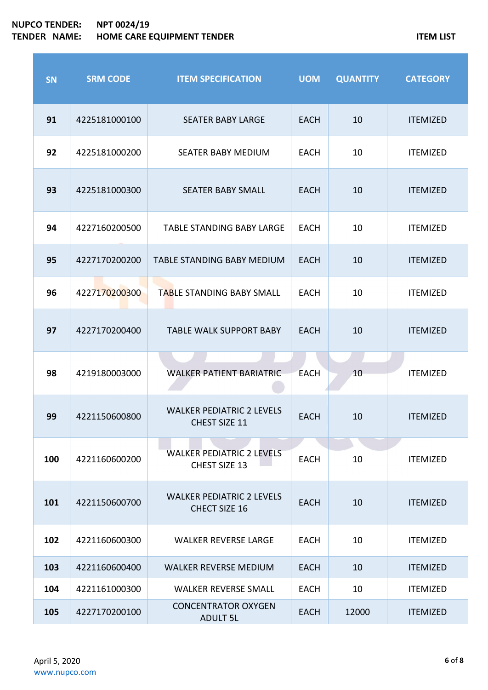# **NUPCO TENDER: NPT 0024/19 TEMP IN A METALLY REPORT TO A METALLY REPORT TO A METALLY REPORT OF A METALLY REPORT OF A METALLY REPORT OF A METALLY REPORT OF A METALLY REPORT OF A METALLY REPORT OF A METALLY REPORT OF A METALLY REPORT OF A METALLY REP**

r

| <b>SN</b> | <b>SRM CODE</b> | <b>ITEM SPECIFICATION</b>                                | <b>UOM</b>  | <b>QUANTITY</b> | <b>CATEGORY</b> |
|-----------|-----------------|----------------------------------------------------------|-------------|-----------------|-----------------|
| 91        | 4225181000100   | <b>SEATER BABY LARGE</b>                                 | <b>EACH</b> | 10              | <b>ITEMIZED</b> |
| 92        | 4225181000200   | SEATER BABY MEDIUM                                       | <b>EACH</b> | 10              | <b>ITEMIZED</b> |
| 93        | 4225181000300   | <b>SEATER BABY SMALL</b>                                 | <b>EACH</b> | 10              | <b>ITEMIZED</b> |
| 94        | 4227160200500   | <b>TABLE STANDING BABY LARGE</b>                         | <b>EACH</b> | 10              | <b>ITEMIZED</b> |
| 95        | 4227170200200   | <b>TABLE STANDING BABY MEDIUM</b>                        | <b>EACH</b> | 10              | <b>ITEMIZED</b> |
| 96        | 4227170200300   | <b>TABLE STANDING BABY SMALL</b>                         | <b>EACH</b> | 10              | <b>ITEMIZED</b> |
| 97        | 4227170200400   | <b>TABLE WALK SUPPORT BABY</b>                           | <b>EACH</b> | 10              | <b>ITEMIZED</b> |
| 98        | 4219180003000   | <b>WALKER PATIENT BARIATRIC</b>                          | <b>EACH</b> | 10              | <b>ITEMIZED</b> |
| 99        | 4221150600800   | <b>WALKER PEDIATRIC 2 LEVELS</b><br>CHEST SIZE 11        | <b>EACH</b> | 10              | <b>ITEMIZED</b> |
| 100       | 4221160600200   | <b>WALKER PEDIATRIC 2 LEVELS</b><br><b>CHEST SIZE 13</b> | <b>EACH</b> | 10              | <b>ITEMIZED</b> |
| 101       | 4221150600700   | <b>WALKER PEDIATRIC 2 LEVELS</b><br>CHECT SIZE 16        | <b>EACH</b> | 10              | <b>ITEMIZED</b> |
| 102       | 4221160600300   | <b>WALKER REVERSE LARGE</b>                              | <b>EACH</b> | 10              | <b>ITEMIZED</b> |
| 103       | 4221160600400   | <b>WALKER REVERSE MEDIUM</b>                             | <b>EACH</b> | 10              | <b>ITEMIZED</b> |
| 104       | 4221161000300   | <b>WALKER REVERSE SMALL</b>                              | <b>EACH</b> | 10              | <b>ITEMIZED</b> |
| 105       | 4227170200100   | <b>CONCENTRATOR OXYGEN</b><br><b>ADULT 5L</b>            | <b>EACH</b> | 12000           | <b>ITEMIZED</b> |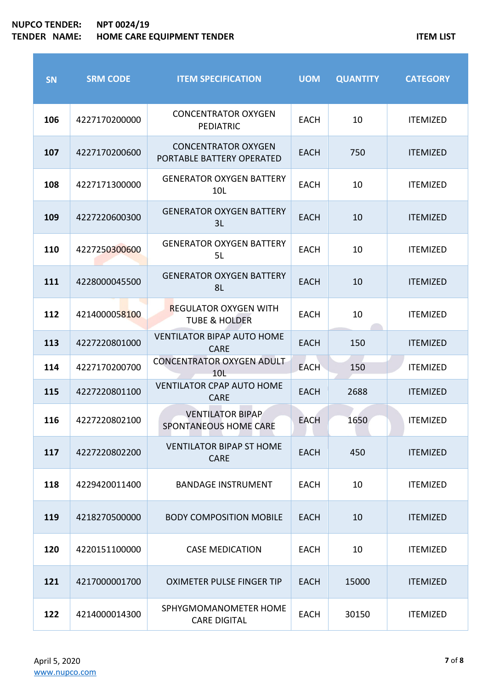| <b>SN</b> | <b>SRM CODE</b> | <b>ITEM SPECIFICATION</b>                                | <b>UOM</b>  | <b>QUANTITY</b> | <b>CATEGORY</b> |
|-----------|-----------------|----------------------------------------------------------|-------------|-----------------|-----------------|
| 106       | 4227170200000   | <b>CONCENTRATOR OXYGEN</b><br><b>PEDIATRIC</b>           | <b>EACH</b> | 10              | <b>ITEMIZED</b> |
| 107       | 4227170200600   | <b>CONCENTRATOR OXYGEN</b><br>PORTABLE BATTERY OPERATED  | <b>EACH</b> | 750             | <b>ITEMIZED</b> |
| 108       | 4227171300000   | <b>GENERATOR OXYGEN BATTERY</b><br>10L                   | <b>EACH</b> | 10              | <b>ITEMIZED</b> |
| 109       | 4227220600300   | <b>GENERATOR OXYGEN BATTERY</b><br>3L                    | <b>EACH</b> | 10              | <b>ITEMIZED</b> |
| 110       | 4227250300600   | <b>GENERATOR OXYGEN BATTERY</b><br>5L                    | <b>EACH</b> | 10              | <b>ITEMIZED</b> |
| 111       | 4228000045500   | <b>GENERATOR OXYGEN BATTERY</b><br>8L                    | <b>EACH</b> | 10              | <b>ITEMIZED</b> |
| 112       | 4214000058100   | <b>REGULATOR OXYGEN WITH</b><br><b>TUBE &amp; HOLDER</b> | <b>EACH</b> | 10              | <b>ITEMIZED</b> |
| 113       | 4227220801000   | <b>VENTILATOR BIPAP AUTO HOME</b><br><b>CARE</b>         | <b>EACH</b> | 150             | <b>ITEMIZED</b> |
| 114       | 4227170200700   | <b>CONCENTRATOR OXYGEN ADULT</b><br>10L                  | <b>EACH</b> | 150             | <b>ITEMIZED</b> |
| 115       | 4227220801100   | <b>VENTILATOR CPAP AUTO HOME</b><br><b>CARE</b>          | <b>EACH</b> | 2688            | <b>ITEMIZED</b> |
| 116       | 4227220802100   | <b>VENTILATOR BIPAP</b><br>SPONTANEOUS HOME CARE         | <b>EACH</b> | 1650            | <b>ITEMIZED</b> |
| 117       | 4227220802200   | <b>VENTILATOR BIPAP ST HOME</b><br><b>CARE</b>           | <b>EACH</b> | 450             | <b>ITEMIZED</b> |
| 118       | 4229420011400   | <b>BANDAGE INSTRUMENT</b>                                | <b>EACH</b> | 10              | <b>ITEMIZED</b> |
| 119       | 4218270500000   | <b>BODY COMPOSITION MOBILE</b>                           | <b>EACH</b> | 10              | <b>ITEMIZED</b> |
| 120       | 4220151100000   | <b>CASE MEDICATION</b>                                   | <b>EACH</b> | 10              | <b>ITEMIZED</b> |
| 121       | 4217000001700   | <b>OXIMETER PULSE FINGER TIP</b>                         | <b>EACH</b> | 15000           | <b>ITEMIZED</b> |
| 122       | 4214000014300   | SPHYGMOMANOMETER HOME<br><b>CARE DIGITAL</b>             | <b>EACH</b> | 30150           | <b>ITEMIZED</b> |